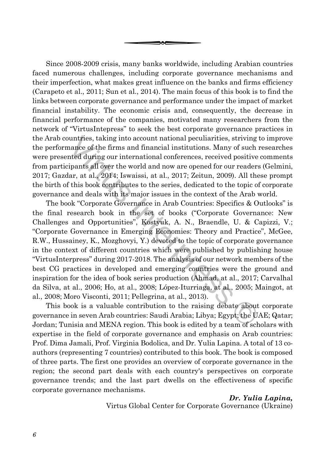Since 2008-2009 crisis, many banks worldwide, including Arabian countries faced numerous challenges, including corporate governance mechanisms and their imperfection, what makes great influence on the banks and firms efficiency (Carapeto et al., 2011; Sun et al., 2014). The main focus of this book is to find the links between corporate governance and performance under the impact of market financial instability. The economic crisis and, consequently, the decrease in financial performance of the companies, motivated many researchers from the network of "VirtusIntepress" to seek the best corporate governance practices in the Arab countries, taking into account national peculiarities, striving to improve the performance of the firms and financial institutions. Many of such researches were presented during our international conferences, received positive comments from participants all over the world and now are opened for our readers (Gelmini, 2017; Gazdar, at al., 2014; Iswaissi, at al., 2017; Zeitun, 2009). All these prompt the birth of this book contributes to the series, dedicated to the topic of corporate governance and deals with its major issues in the context of the Arab world.

uuntries, taking into account national peculiarities, striving to<br>nance of the firms and financial institutions. Many of such reflected during our international conferences, received positive cipants all over the world and The book "Corporate Governance in Arab Countries: Specifics & Outlooks" is the final research book in the set of books ("Corporate Governance: New Challenges and Opportunities", Kostyuk, A. N., Braendle, U. & Capizzi, V.; "Corporate Governance in Emerging Economies: Theory and Practice", McGee, R.W., Hussainey, K., Mozghovyi, Y.) devoted to the topic of corporate governance in the context of different countries which were published by publishing house "VirtusInterpress" during 2017-2018. The analysis of our network members of the best CG practices in developed and emerging countries were the ground and inspiration for the idea of book series production (Ahmad, at al., 2017; Carvalhal da Silva, at al., 2006; Ho, at al., 2008; López-Iturriaga, at al., 2005; Maingot, at al., 2008; Moro Visconti, 2011; Pellegrina, at al., 2013).

This book is a valuable contribution to the raising debate about corporate governance in seven Arab countries: Saudi Arabia; Libya; Egypt; the UAE; Qatar; Jordan; Tunisia and MENA region. This book is edited by a team of scholars with expertise in the field of corporate governance and emphasis on Arab countries: Prof. Dima Jamali, Prof. Virginia Bodolica, and Dr. Yulia Lapina. A total of 13 coauthors (representing 7 countries) contributed to this book. The book is composed of three parts. The first one provides an overview of corporate governance in the region; the second part deals with each country's perspectives on corporate governance trends; and the last part dwells on the effectiveness of specific corporate governance mechanisms.

## *Dr. Yulia Lapina,*

Virtus Global Center for Corporate Governance (Ukraine)